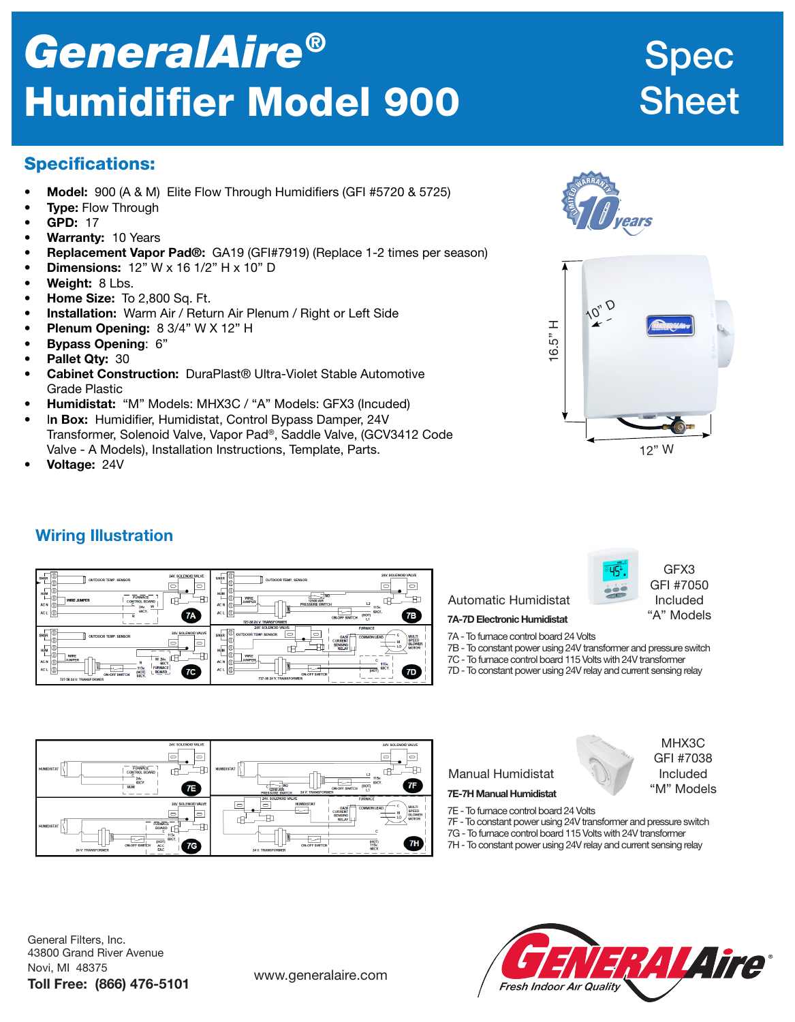# *GeneralAire®* Humidifier Model 900

## Spec Sheet

## Specifications:

- **Model:** 900 (A & M) Elite Flow Through Humidifiers (GFI #5720 & 5725)
- **Type: Flow Through**
- **GPD: 17**
- Warranty: 10 Years
- Replacement Vapor Pad®: GA19 (GFI#7919) (Replace 1-2 times per season)
- **Dimensions:**  $12$ " W x  $16 \frac{1}{2}$ " H x  $10$ " D
- Weight: 8 Lbs.
- Home Size: To 2,800 Sq. Ft.
- Installation: Warm Air / Return Air Plenum / Right or Left Side
- **Plenum Opening:**  $8 \frac{3}{4}$ " W X 12" H
- **Bypass Opening: 6"**
- Pallet Qty: 30
- Cabinet Construction: DuraPlast<sup>®</sup> Ultra-Violet Stable Automotive Grade Plastic
- Humidistat: "M" Models: MHX3C / "A" Models: GFX3 (Incuded)
- In Box: Humidifier, Humidistat, Control Bypass Damper, 24V Transformer, Solenoid Valve, Vapor Pad®, Saddle Valve, (GCV3412 Code Valve - A Models), Installation Instructions, Template, Parts.
- Voltage: 24V





## Wiring Illustration

| ıT<br>24V. SOLENOID VALVE<br><b>SNSR</b><br><b>OUTDOOR TEMP, SENSOR</b><br>J<br>$\cup$<br>$\Rightarrow$<br>1Œ                                             | $\overline{a}$<br>24V. SOLENOID VALVE<br><b>SNSR</b><br><b>OUTDOOR TEMP, SENSOR</b><br>$\equiv$<br>$\Rightarrow$                                                                                                                                                           |
|-----------------------------------------------------------------------------------------------------------------------------------------------------------|----------------------------------------------------------------------------------------------------------------------------------------------------------------------------------------------------------------------------------------------------------------------------|
| HUM<br>л<br><b>FURNACE</b><br><b>WIRE JUMPER</b><br><b>CONTROL BOARD</b><br>F.<br>AC <sub>N</sub><br>W<br>24x<br>GOCY.<br>AC <sub>L</sub><br>7A<br>ч<br>R | <b>HUM</b><br><b>WRE</b><br>JUMPER<br>12500 AIR<br>$\mathbf{L}$<br><b>PRESSURE SWITCH</b><br>AC N<br>115v.<br>GOCY.<br>AC <sub>1</sub><br>7В<br>(НОТ)<br><b>ON-OFF SWITCH</b>                                                                                              |
|                                                                                                                                                           | 727-58 24 V. TRANSFORMER                                                                                                                                                                                                                                                   |
|                                                                                                                                                           | 24V. SOLENOID VALVE<br><b>FURNACE</b>                                                                                                                                                                                                                                      |
| ℼ<br>24V. SOLENOID VALVE<br>SNSR<br><b>OUTDOOR TEMP, SENSOR</b><br>٦U.<br>$\Rightarrow$<br>$\Rightarrow$<br>10.<br>HUM<br>m<br><b>WRE</b>                 | $\equiv$<br>$\equiv$<br><b>OUTDOOR TEMP, SENSOR</b><br><b>SNSR</b><br>÷с<br><b>MULTI</b><br><b>COMMON LEAD</b><br>GASO<br><b>SPEED</b><br><b>CURRENT</b><br>- н<br><b>BLOWER</b><br><b>SENSING</b><br>LO<br><b>MOTOR</b><br>н<br><b>RELAY</b><br><b>HUM</b><br><b>WIRE</b> |

GFX3 GFI #7050 Included "A" Models

> MHX3C GFI #7038 Included "M" Models

#### Automatic Humidistat 7A-7D Electronic Humidistat

- 7A To furnace control board 24 Volts
- 7B To constant power using 24V transformer and pressure switch
- 7C To furnace control board 115 Volts with 24V transformer
- 7D To constant power using 24V relay and current sensing relay



### Manual Humidistat

#### 7E-7H Manual Humidistat

- 7E To furnace control board 24 Volts
- 7F To constant power using 24V transformer and pressure switch
- 7G To furnace control board 115 Volts with 24V transformer
- 7H To constant power using 24V relay and current sensing relay

General Filters, Inc. 43800 Grand River Avenue Novi, MI 48375 Toll Free: (866) 476-5101 www.generalaire.com